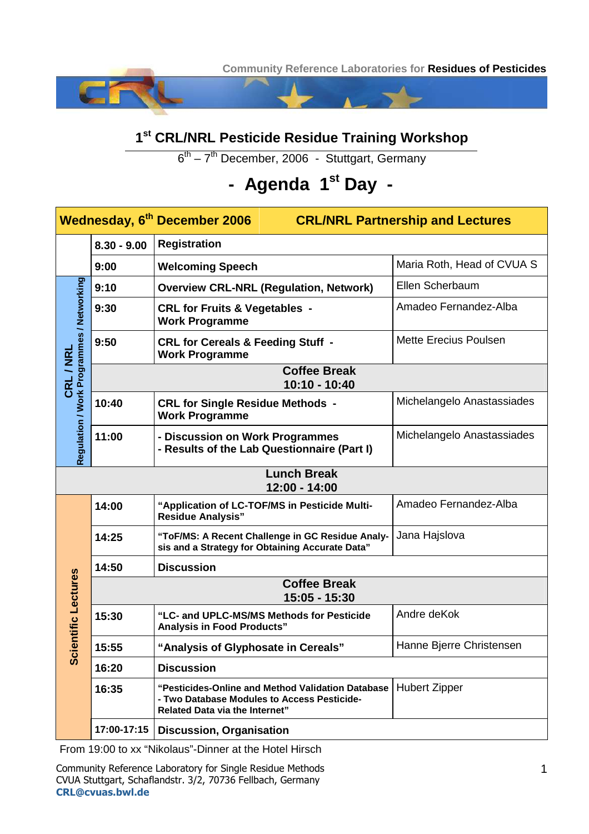**Community Reference Laboratories for Residues of Pesticides**

## **1 st CRL/NRL Pesticide Residue Training Workshop**

6<sup>th</sup> – 7<sup>th</sup> December, 2006 - Stuttgart, Germany

## **- Agenda 1st Day -**

| Wednesday, 6 <sup>th</sup> December 2006<br><b>CRL/NRL Partnership and Lectures</b> |                                      |                                                                                                                                           |                              |  |  |  |  |  |
|-------------------------------------------------------------------------------------|--------------------------------------|-------------------------------------------------------------------------------------------------------------------------------------------|------------------------------|--|--|--|--|--|
|                                                                                     | $8.30 - 9.00$                        | <b>Registration</b>                                                                                                                       |                              |  |  |  |  |  |
|                                                                                     | 9:00                                 | <b>Welcoming Speech</b>                                                                                                                   | Maria Roth, Head of CVUA S   |  |  |  |  |  |
| CRL / NRL<br>Regulation / Work Programmes / Networking                              | 9:10                                 | <b>Overview CRL-NRL (Regulation, Network)</b>                                                                                             | Ellen Scherbaum              |  |  |  |  |  |
|                                                                                     | 9:30                                 | <b>CRL for Fruits &amp; Vegetables -</b><br><b>Work Programme</b>                                                                         | Amadeo Fernandez-Alba        |  |  |  |  |  |
|                                                                                     | 9:50                                 | <b>CRL for Cereals &amp; Feeding Stuff -</b><br><b>Work Programme</b>                                                                     | <b>Mette Erecius Poulsen</b> |  |  |  |  |  |
|                                                                                     | <b>Coffee Break</b><br>10:10 - 10:40 |                                                                                                                                           |                              |  |  |  |  |  |
|                                                                                     | 10:40                                | <b>CRL for Single Residue Methods -</b><br><b>Work Programme</b>                                                                          | Michelangelo Anastassiades   |  |  |  |  |  |
|                                                                                     | 11:00                                | - Discussion on Work Programmes<br>- Results of the Lab Questionnaire (Part I)                                                            | Michelangelo Anastassiades   |  |  |  |  |  |
| <b>Lunch Break</b><br>12:00 - 14:00                                                 |                                      |                                                                                                                                           |                              |  |  |  |  |  |
| ientific Lectures<br>$\overline{3}$                                                 | 14:00                                | "Application of LC-TOF/MS in Pesticide Multi-<br><b>Residue Analysis"</b>                                                                 | Amadeo Fernandez-Alba        |  |  |  |  |  |
|                                                                                     | 14:25                                | "ToF/MS: A Recent Challenge in GC Residue Analy-<br>sis and a Strategy for Obtaining Accurate Data"                                       | Jana Hajslova                |  |  |  |  |  |
|                                                                                     | 14:50                                | <b>Discussion</b>                                                                                                                         |                              |  |  |  |  |  |
|                                                                                     | <b>Coffee Break</b><br>15:05 - 15:30 |                                                                                                                                           |                              |  |  |  |  |  |
|                                                                                     | 15:30                                | "LC- and UPLC-MS/MS Methods for Pesticide<br><b>Analysis in Food Products"</b>                                                            | Andre deKok                  |  |  |  |  |  |
|                                                                                     | 15:55                                | "Analysis of Glyphosate in Cereals"                                                                                                       | Hanne Bjerre Christensen     |  |  |  |  |  |
|                                                                                     | 16:20                                | <b>Discussion</b>                                                                                                                         |                              |  |  |  |  |  |
|                                                                                     | 16:35                                | "Pesticides-Online and Method Validation Database<br>- Two Database Modules to Access Pesticide-<br><b>Related Data via the Internet"</b> | <b>Hubert Zipper</b>         |  |  |  |  |  |
|                                                                                     | 17:00-17:15                          | <b>Discussion, Organisation</b>                                                                                                           |                              |  |  |  |  |  |

From 19:00 to xx "Nikolaus"-Dinner at the Hotel Hirsch

Community Reference Laboratory for Single Residue Methods CVUA Stuttgart, Schaflandstr. 3/2, 70736 Fellbach, Germany **CRL@cvuas.bwl.de**